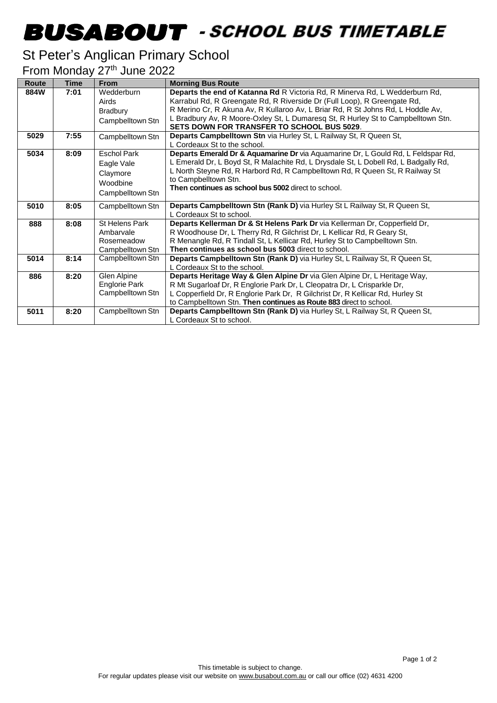## -

## St Peter's Anglican Primary School

From Monday 27<sup>th</sup> June 2022

| Route | <b>Time</b> | <b>From</b>        | <b>Morning Bus Route</b>                                                            |
|-------|-------------|--------------------|-------------------------------------------------------------------------------------|
| 884W  | 7:01        | Wedderburn         | Departs the end of Katanna Rd R Victoria Rd, R Minerva Rd, L Wedderburn Rd,         |
|       |             | Airds              | Karrabul Rd, R Greengate Rd, R Riverside Dr (Full Loop), R Greengate Rd,            |
|       |             | Bradbury           | R Merino Cr, R Akuna Av, R Kullaroo Av, L Briar Rd, R St Johns Rd, L Hoddle Av,     |
|       |             | Campbelltown Stn   | L Bradbury Av, R Moore-Oxley St, L Dumaresq St, R Hurley St to Campbelltown Stn.    |
|       |             |                    | SETS DOWN FOR TRANSFER TO SCHOOL BUS 5029.                                          |
| 5029  | 7:55        | Campbelltown Stn   | <b>Departs Campbelltown Stn via Hurley St, L Railway St, R Queen St,</b>            |
|       |             |                    | L Cordeaux St to the school.                                                        |
| 5034  | 8:09        | <b>Eschol Park</b> | Departs Emerald Dr & Aquamarine Dr via Aquamarine Dr, L Gould Rd, L Feldspar Rd,    |
|       |             | Eagle Vale         | L Emerald Dr, L Boyd St, R Malachite Rd, L Drysdale St, L Dobell Rd, L Badgally Rd, |
|       |             | Claymore           | L North Steyne Rd, R Harbord Rd, R Campbelltown Rd, R Queen St, R Railway St        |
|       |             | Woodbine           | to Campbelltown Stn.                                                                |
|       |             | Campbelltown Stn   | Then continues as school bus 5002 direct to school.                                 |
| 5010  | 8:05        | Campbelltown Stn   | Departs Campbelltown Stn (Rank D) via Hurley St L Railway St, R Queen St,           |
|       |             |                    | L Cordeaux St to school.                                                            |
| 888   | 8:08        | St Helens Park     | Departs Kellerman Dr & St Helens Park Dr via Kellerman Dr, Copperfield Dr,          |
|       |             | Ambarvale          | R Woodhouse Dr, L Therry Rd, R Gilchrist Dr, L Kellicar Rd, R Geary St,             |
|       |             | Rosemeadow         | R Menangle Rd, R Tindall St, L Kellicar Rd, Hurley St to Campbelltown Stn.          |
|       |             | Campbelltown Stn   | Then continues as school bus 5003 direct to school.                                 |
| 5014  | 8:14        | Campbelltown Stn   | Departs Campbelltown Stn (Rank D) via Hurley St, L Railway St, R Queen St,          |
|       |             |                    | L Cordeaux St to the school.                                                        |
| 886   | 8:20        | Glen Alpine        | Departs Heritage Way & Glen Alpine Dr via Glen Alpine Dr, L Heritage Way,           |
|       |             | Englorie Park      | R Mt Sugarloaf Dr, R Englorie Park Dr, L Cleopatra Dr, L Crisparkle Dr,             |
|       |             | Campbelltown Stn   | L Copperfield Dr, R Englorie Park Dr, R Gilchrist Dr, R Kellicar Rd, Hurley St      |
|       |             |                    | to Campbelltown Stn. Then continues as Route 883 direct to school.                  |
| 5011  | 8:20        | Campbelltown Stn   | Departs Campbelltown Stn (Rank D) via Hurley St, L Railway St, R Queen St,          |
|       |             |                    | L Cordeaux St to school.                                                            |